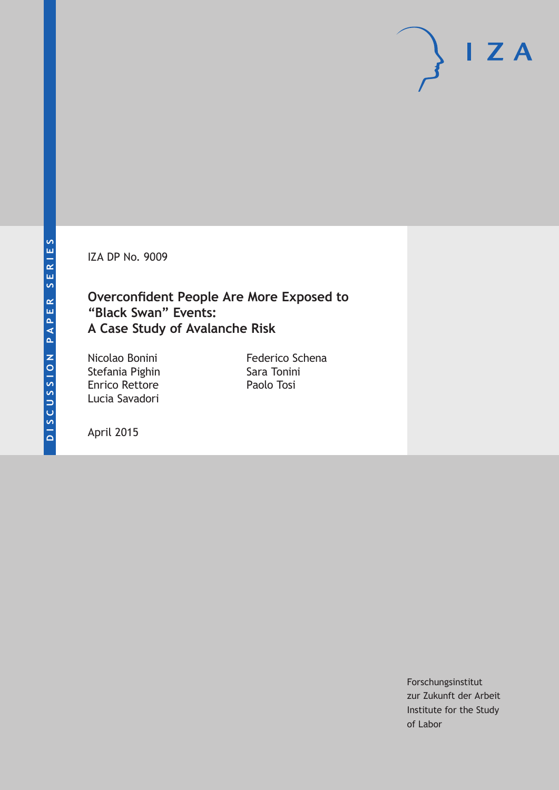IZA DP No. 9009

### **Overconfident People Are More Exposed to "Black Swan" Events: A Case Study of Avalanche Risk**

Nicolao Bonini Stefania Pighin Enrico Rettore Lucia Savadori

Federico Schena Sara Tonini Paolo Tosi

April 2015

Forschungsinstitut zur Zukunft der Arbeit Institute for the Study of Labor

 $I Z A$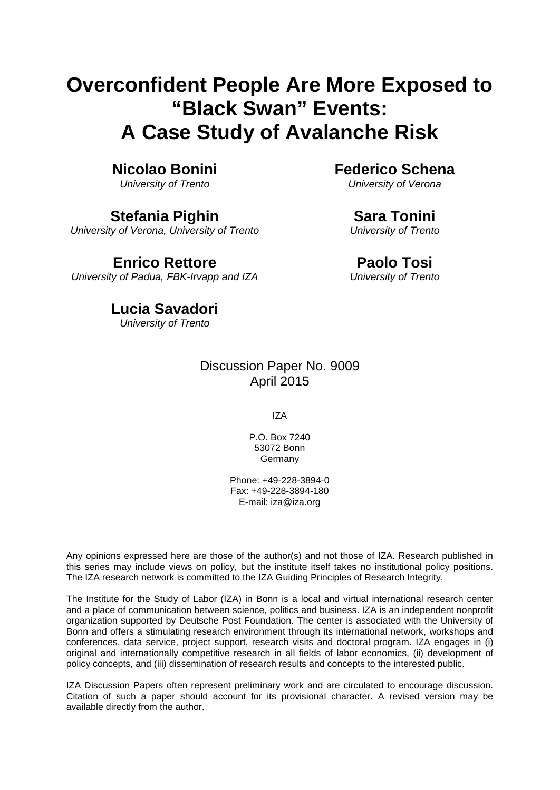# **Overconfident People Are More Exposed to "Black Swan" Events: A Case Study of Avalanche Risk**

### **Nicolao Bonini**

*University of Trento*

### **Stefania Pighin**

*University of Verona, University of Trento*

### **Enrico Rettore**

*University of Padua, FBK-Irvapp and IZA*

**Federico Schena**

*University of Verona*

#### **Sara Tonini**

*University of Trento*

### **Paolo Tosi**

*University of Trento*

### **Lucia Savadori**

*University of Trento*

### Discussion Paper No. 9009 April 2015

IZA

P.O. Box 7240 53072 Bonn Germany

Phone: +49-228-3894-0 Fax: +49-228-3894-180 E-mail: iza@iza.org

Any opinions expressed here are those of the author(s) and not those of IZA. Research published in this series may include views on policy, but the institute itself takes no institutional policy positions. The IZA research network is committed to the IZA Guiding Principles of Research Integrity.

The Institute for the Study of Labor (IZA) in Bonn is a local and virtual international research center and a place of communication between science, politics and business. IZA is an independent nonprofit organization supported by Deutsche Post Foundation. The center is associated with the University of Bonn and offers a stimulating research environment through its international network, workshops and conferences, data service, project support, research visits and doctoral program. IZA engages in (i) original and internationally competitive research in all fields of labor economics, (ii) development of policy concepts, and (iii) dissemination of research results and concepts to the interested public.

IZA Discussion Papers often represent preliminary work and are circulated to encourage discussion. Citation of such a paper should account for its provisional character. A revised version may be available directly from the author.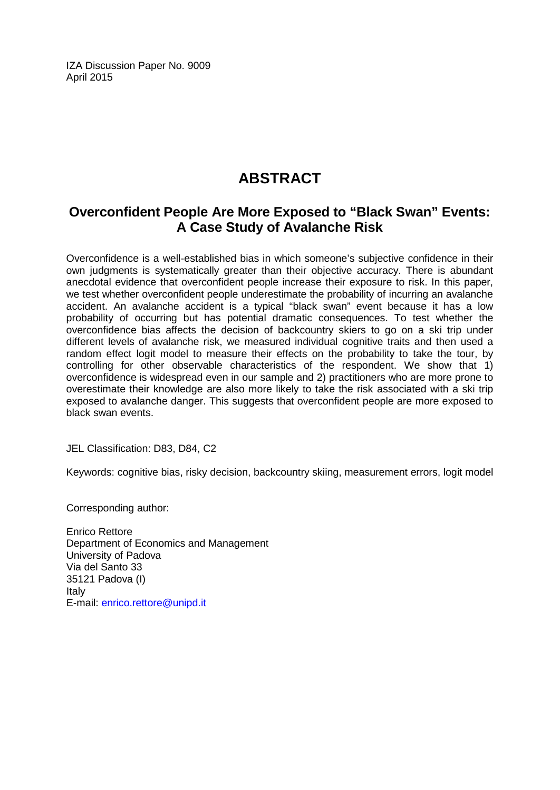IZA Discussion Paper No. 9009 April 2015

# **ABSTRACT**

#### **Overconfident People Are More Exposed to "Black Swan" Events: A Case Study of Avalanche Risk**

Overconfidence is a well-established bias in which someone's subjective confidence in their own judgments is systematically greater than their objective accuracy. There is abundant anecdotal evidence that overconfident people increase their exposure to risk. In this paper, we test whether overconfident people underestimate the probability of incurring an avalanche accident. An avalanche accident is a typical "black swan" event because it has a low probability of occurring but has potential dramatic consequences. To test whether the overconfidence bias affects the decision of backcountry skiers to go on a ski trip under different levels of avalanche risk, we measured individual cognitive traits and then used a random effect logit model to measure their effects on the probability to take the tour, by controlling for other observable characteristics of the respondent. We show that 1) overconfidence is widespread even in our sample and 2) practitioners who are more prone to overestimate their knowledge are also more likely to take the risk associated with a ski trip exposed to avalanche danger. This suggests that overconfident people are more exposed to black swan events.

JEL Classification: D83, D84, C2

Keywords: cognitive bias, risky decision, backcountry skiing, measurement errors, logit model

Corresponding author:

Enrico Rettore Department of Economics and Management University of Padova Via del Santo 33 35121 Padova (I) Italy E-mail: [enrico.rettore@unipd.it](mailto:enrico.rettore@unipd.it)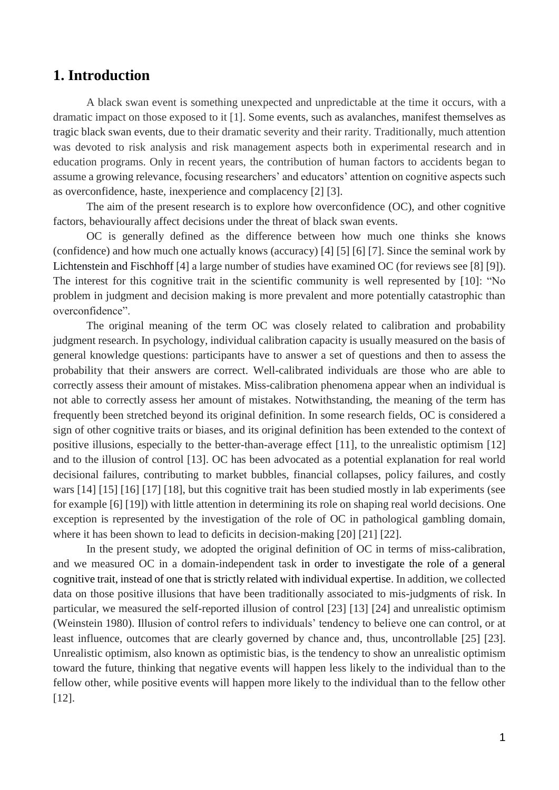#### **1. Introduction**

A black swan event is something unexpected and unpredictable at the time it occurs, with a dramatic impact on those exposed to it [1]. Some events, such as avalanches, manifest themselves as tragic black swan events, due to their dramatic severity and their rarity. Traditionally, much attention was devoted to risk analysis and risk management aspects both in experimental research and in education programs. Only in recent years, the contribution of human factors to accidents began to assume a growing relevance, focusing researchers' and educators' attention on cognitive aspects such as overconfidence, haste, inexperience and complacency [2] [3].

The aim of the present research is to explore how overconfidence (OC), and other cognitive factors, behaviourally affect decisions under the threat of black swan events.

OC is generally defined as the difference between how much one thinks she knows (confidence) and how much one actually knows (accuracy) [4] [5] [6] [7]. Since the seminal work by Lichtenstein and Fischhoff [4] a large number of studies have examined OC (for reviews see [8] [9]). The interest for this cognitive trait in the scientific community is well represented by [10]: "No problem in judgment and decision making is more prevalent and more potentially catastrophic than overconfidence".

The original meaning of the term OC was closely related to calibration and probability judgment research. In psychology, individual calibration capacity is usually measured on the basis of general knowledge questions: participants have to answer a set of questions and then to assess the probability that their answers are correct. Well-calibrated individuals are those who are able to correctly assess their amount of mistakes. Miss-calibration phenomena appear when an individual is not able to correctly assess her amount of mistakes. Notwithstanding, the meaning of the term has frequently been stretched beyond its original definition. In some research fields, OC is considered a sign of other cognitive traits or biases, and its original definition has been extended to the context of positive illusions, especially to the better-than-average effect [11], to the unrealistic optimism [12] and to the illusion of control [13]. OC has been advocated as a potential explanation for real world decisional failures, contributing to market bubbles, financial collapses, policy failures, and costly wars [14] [15] [16] [17] [18], but this cognitive trait has been studied mostly in lab experiments (see for example [6] [19]) with little attention in determining its role on shaping real world decisions. One exception is represented by the investigation of the role of OC in pathological gambling domain, where it has been shown to lead to deficits in decision-making [20] [21] [22].

In the present study, we adopted the original definition of OC in terms of miss-calibration, and we measured OC in a domain-independent task in order to investigate the role of a general cognitive trait, instead of one that is strictly related with individual expertise. In addition, we collected data on those positive illusions that have been traditionally associated to mis-judgments of risk. In particular, we measured the self-reported illusion of control [23] [13] [24] and unrealistic optimism (Weinstein 1980). Illusion of control refers to individuals' tendency to believe one can control, or at least influence, outcomes that are clearly governed by chance and, thus, uncontrollable [25] [23]. Unrealistic optimism, also known as optimistic bias, is the tendency to show an unrealistic optimism toward the future, thinking that negative events will happen less likely to the individual than to the fellow other, while positive events will happen more likely to the individual than to the fellow other [12].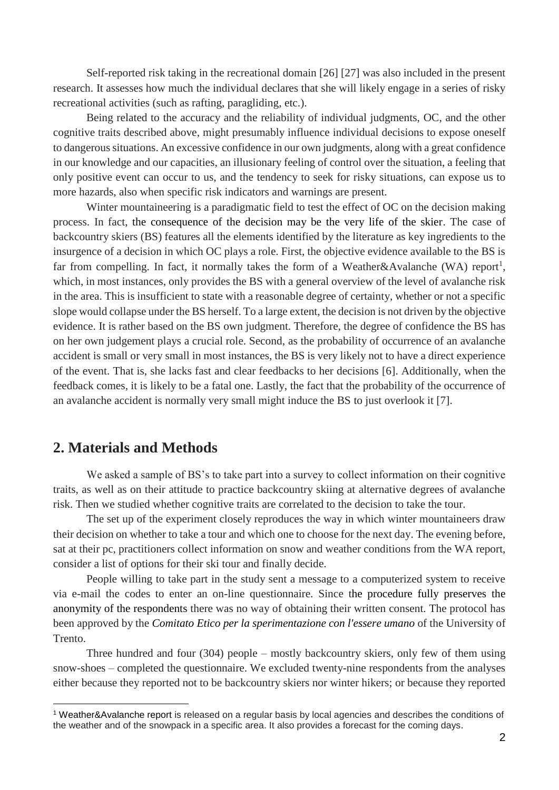Self-reported risk taking in the recreational domain [26] [27] was also included in the present research. It assesses how much the individual declares that she will likely engage in a series of risky recreational activities (such as rafting, paragliding, etc.).

Being related to the accuracy and the reliability of individual judgments, OC, and the other cognitive traits described above, might presumably influence individual decisions to expose oneself to dangerous situations. An excessive confidence in our own judgments, along with a great confidence in our knowledge and our capacities, an illusionary feeling of control over the situation, a feeling that only positive event can occur to us, and the tendency to seek for risky situations, can expose us to more hazards, also when specific risk indicators and warnings are present.

Winter mountaineering is a paradigmatic field to test the effect of OC on the decision making process. In fact, the consequence of the decision may be the very life of the skier. The case of backcountry skiers (BS) features all the elements identified by the literature as key ingredients to the insurgence of a decision in which OC plays a role. First, the objective evidence available to the BS is far from compelling. In fact, it normally takes the form of a Weather&Avalanche (WA) report<sup>1</sup>, which, in most instances, only provides the BS with a general overview of the level of avalanche risk in the area. This is insufficient to state with a reasonable degree of certainty, whether or not a specific slope would collapse under the BS herself. To a large extent, the decision is not driven by the objective evidence. It is rather based on the BS own judgment. Therefore, the degree of confidence the BS has on her own judgement plays a crucial role. Second, as the probability of occurrence of an avalanche accident is small or very small in most instances, the BS is very likely not to have a direct experience of the event. That is, she lacks fast and clear feedbacks to her decisions [6]. Additionally, when the feedback comes, it is likely to be a fatal one. Lastly, the fact that the probability of the occurrence of an avalanche accident is normally very small might induce the BS to just overlook it [7].

#### **2. Materials and Methods**

1

We asked a sample of BS's to take part into a survey to collect information on their cognitive traits, as well as on their attitude to practice backcountry skiing at alternative degrees of avalanche risk. Then we studied whether cognitive traits are correlated to the decision to take the tour.

The set up of the experiment closely reproduces the way in which winter mountaineers draw their decision on whether to take a tour and which one to choose for the next day. The evening before, sat at their pc, practitioners collect information on snow and weather conditions from the WA report, consider a list of options for their ski tour and finally decide.

People willing to take part in the study sent a message to a computerized system to receive via e-mail the codes to enter an on-line questionnaire. Since the procedure fully preserves the anonymity of the respondents there was no way of obtaining their written consent. The protocol has been approved by the *Comitato Etico per la sperimentazione con l'essere umano* of the University of Trento.

Three hundred and four (304) people – mostly backcountry skiers, only few of them using snow-shoes – completed the questionnaire. We excluded twenty-nine respondents from the analyses either because they reported not to be backcountry skiers nor winter hikers; or because they reported

<sup>1</sup> Weather&Avalanche report is released on a regular basis by local agencies and describes the conditions of the weather and of the snowpack in a specific area. It also provides a forecast for the coming days.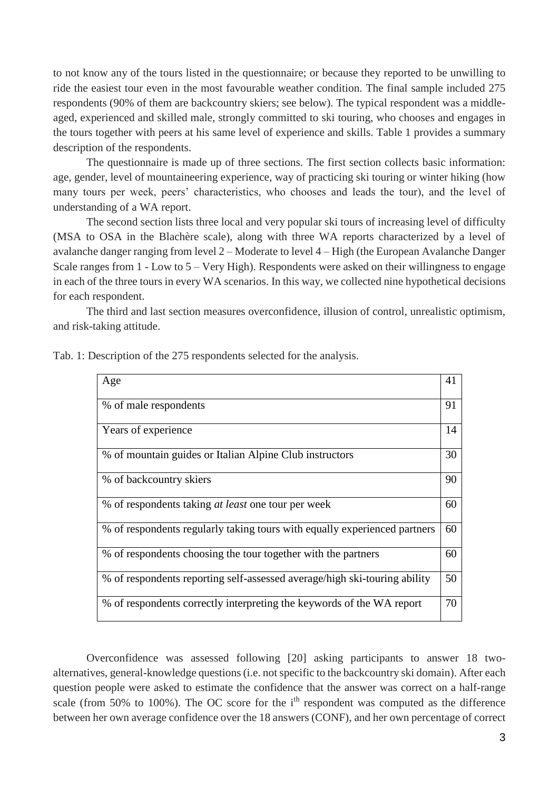to not know any of the tours listed in the questionnaire; or because they reported to be unwilling to ride the easiest tour even in the most favourable weather condition. The final sample included 275 respondents (90% of them are backcountry skiers; see below). The typical respondent was a middleaged, experienced and skilled male, strongly committed to ski touring, who chooses and engages in the tours together with peers at his same level of experience and skills. Table 1 provides a summary description of the respondents.

The questionnaire is made up of three sections. The first section collects basic information: age, gender, level of mountaineering experience, way of practicing ski touring or winter hiking (how many tours per week, peers' characteristics, who chooses and leads the tour), and the level of understanding of a WA report.

The second section lists three local and very popular ski tours of increasing level of difficulty (MSA to OSA in the Blachère scale), along with three WA reports characterized by a level of avalanche danger ranging from level 2 – Moderate to level 4 – High (the European Avalanche Danger Scale ranges from 1 - Low to 5 – Very High). Respondents were asked on their willingness to engage in each of the three tours in every WA scenarios. In this way, we collected nine hypothetical decisions for each respondent.

The third and last section measures overconfidence, illusion of control, unrealistic optimism, and risk-taking attitude.

| Age                                                                       | 41 |
|---------------------------------------------------------------------------|----|
| % of male respondents                                                     | 91 |
| Years of experience                                                       | 14 |
| % of mountain guides or Italian Alpine Club instructors                   | 30 |
| % of backcountry skiers                                                   | 90 |
| % of respondents taking at least one tour per week                        | 60 |
| % of respondents regularly taking tours with equally experienced partners | 60 |
| % of respondents choosing the tour together with the partners             | 60 |
| % of respondents reporting self-assessed average/high ski-touring ability | 50 |
| % of respondents correctly interpreting the keywords of the WA report     | 70 |

Tab. 1: Description of the 275 respondents selected for the analysis.

Overconfidence was assessed following [20] asking participants to answer 18 twoalternatives, general-knowledge questions(i.e. not specific to the backcountry ski domain). After each question people were asked to estimate the confidence that the answer was correct on a half-range scale (from 50% to 100%). The OC score for the  $i<sup>th</sup>$  respondent was computed as the difference between her own average confidence over the 18 answers (CONF), and her own percentage of correct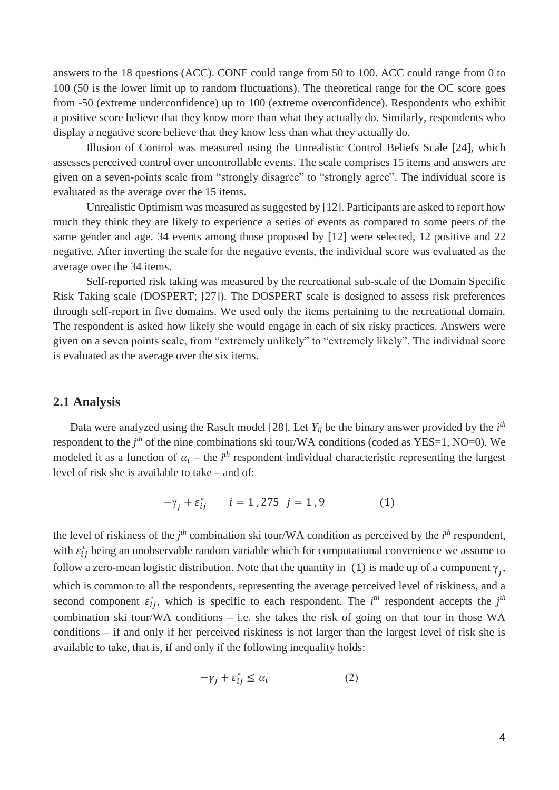answers to the 18 questions (ACC). CONF could range from 50 to 100. ACC could range from 0 to 100 (50 is the lower limit up to random fluctuations). The theoretical range for the OC score goes from -50 (extreme underconfidence) up to 100 (extreme overconfidence). Respondents who exhibit a positive score believe that they know more than what they actually do. Similarly, respondents who display a negative score believe that they know less than what they actually do.

Illusion of Control was measured using the Unrealistic Control Beliefs Scale [24], which assesses perceived control over uncontrollable events. The scale comprises 15 items and answers are given on a seven-points scale from "strongly disagree" to "strongly agree". The individual score is evaluated as the average over the 15 items.

Unrealistic Optimism was measured as suggested by [12]. Participants are asked to report how much they think they are likely to experience a series of events as compared to some peers of the same gender and age. 34 events among those proposed by [12] were selected, 12 positive and 22 negative. After inverting the scale for the negative events, the individual score was evaluated as the average over the 34 items.

Self-reported risk taking was measured by the recreational sub-scale of the Domain Specific Risk Taking scale (DOSPERT; [27]). The DOSPERT scale is designed to assess risk preferences through self-report in five domains. We used only the items pertaining to the recreational domain. The respondent is asked how likely she would engage in each of six risky practices. Answers were given on a seven points scale, from "extremely unlikely" to "extremely likely". The individual score is evaluated as the average over the six items.

#### **2.1 Analysis**

Data were analyzed using the Rasch model [28]. Let  $Y_{ij}$  be the binary answer provided by the  $i<sup>th</sup>$ respondent to the *j<sup>th</sup>* of the nine combinations ski tour/WA conditions (coded as YES=1, NO=0). We modeled it as a function of  $\alpha_i$  – the *i*<sup>th</sup> respondent individual characteristic representing the largest level of risk she is available to take – and of:

$$
-\gamma_j + \varepsilon_{ij}^* \qquad i = 1,275 \ \ j = 1,9 \tag{1}
$$

the level of riskiness of the  $j<sup>th</sup>$  combination ski tour/WA condition as perceived by the  $i<sup>th</sup>$  respondent, with  $\varepsilon_{ij}^*$  being an unobservable random variable which for computational convenience we assume to follow a zero-mean logistic distribution. Note that the quantity in (1) is made up of a component  $\gamma_j$ , which is common to all the respondents, representing the average perceived level of riskiness, and a second component  $\varepsilon_{ij}^*$ , which is specific to each respondent. The *i*<sup>th</sup> respondent accepts the *j*<sup>th</sup> combination ski tour/WA conditions – i.e. she takes the risk of going on that tour in those  $WA$ conditions – if and only if her perceived riskiness is not larger than the largest level of risk she is available to take, that is, if and only if the following inequality holds:

$$
-\gamma_j + \varepsilon_{ij}^* \le \alpha_i \tag{2}
$$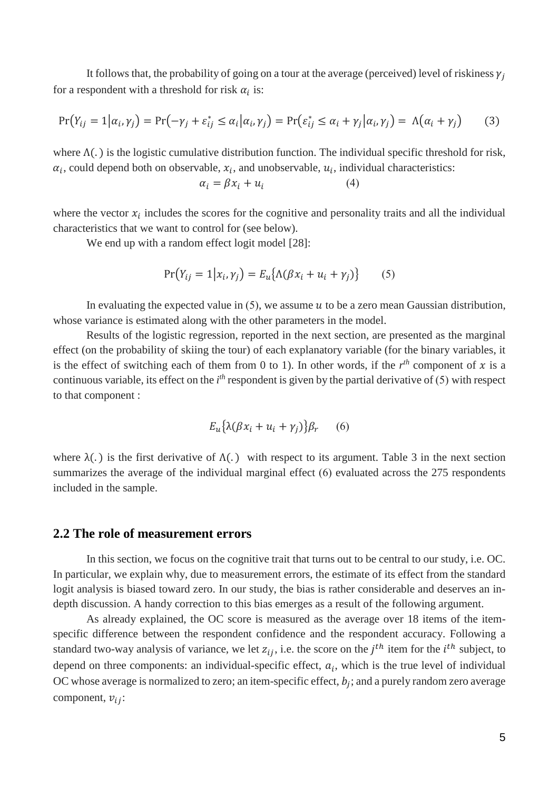It follows that, the probability of going on a tour at the average (perceived) level of riskiness  $\gamma_i$ for a respondent with a threshold for risk  $\alpha_i$  is:

$$
\Pr(Y_{ij} = 1 | \alpha_i, \gamma_j) = \Pr(-\gamma_j + \varepsilon_{ij}^* \le \alpha_i | \alpha_i, \gamma_j) = \Pr(\varepsilon_{ij}^* \le \alpha_i + \gamma_j | \alpha_i, \gamma_j) = \Lambda(\alpha_i + \gamma_j)
$$
(3)

where  $\Lambda(.)$  is the logistic cumulative distribution function. The individual specific threshold for risk,  $\alpha_i$ , could depend both on observable,  $x_i$ , and unobservable,  $u_i$ , individual characteristics:

$$
\alpha_i = \beta x_i + u_i \tag{4}
$$

where the vector  $x_i$  includes the scores for the cognitive and personality traits and all the individual characteristics that we want to control for (see below).

We end up with a random effect logit model [28]:

$$
Pr(Y_{ij} = 1 | x_i, \gamma_j) = E_u \{ \Lambda (\beta x_i + u_i + \gamma_j) \}
$$
 (5)

In evaluating the expected value in  $(5)$ , we assume  $u$  to be a zero mean Gaussian distribution, whose variance is estimated along with the other parameters in the model.

Results of the logistic regression, reported in the next section, are presented as the marginal effect (on the probability of skiing the tour) of each explanatory variable (for the binary variables, it is the effect of switching each of them from 0 to 1). In other words, if the  $r<sup>th</sup>$  component of x is a continuous variable, its effect on the *i th* respondent is given by the partial derivative of (5) with respect to that component :

$$
E_u\{\lambda(\beta x_i + u_i + \gamma_j)\}\beta_r \qquad (6)
$$

where  $\lambda(.)$  is the first derivative of  $\Lambda(.)$  with respect to its argument. Table 3 in the next section summarizes the average of the individual marginal effect (6) evaluated across the 275 respondents included in the sample.

#### **2.2 The role of measurement errors**

In this section, we focus on the cognitive trait that turns out to be central to our study, i.e. OC. In particular, we explain why, due to measurement errors, the estimate of its effect from the standard logit analysis is biased toward zero. In our study, the bias is rather considerable and deserves an indepth discussion. A handy correction to this bias emerges as a result of the following argument.

As already explained, the OC score is measured as the average over 18 items of the itemspecific difference between the respondent confidence and the respondent accuracy. Following a standard two-way analysis of variance, we let  $z_{ij}$ , i.e. the score on the  $j<sup>th</sup>$  item for the  $i<sup>th</sup>$  subject, to depend on three components: an individual-specific effect,  $a_i$ , which is the true level of individual OC whose average is normalized to zero; an item-specific effect,  $b_j$ ; and a purely random zero average component,  $v_{ii}$ :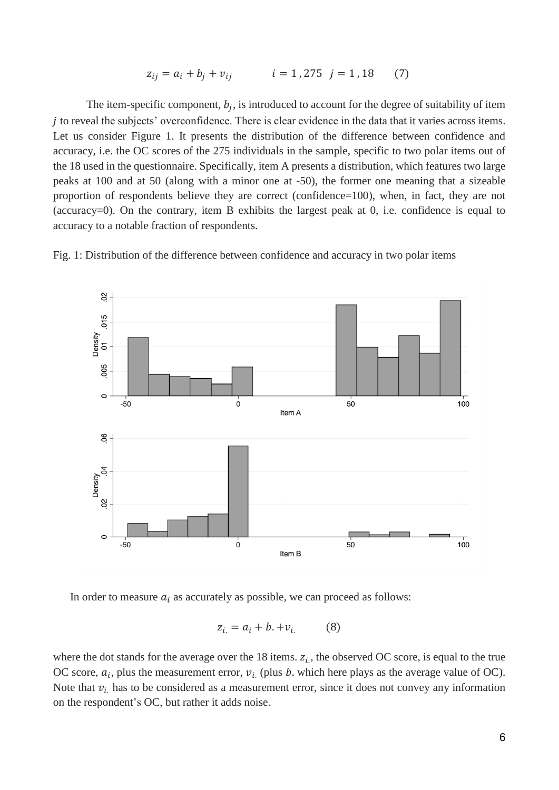$$
z_{ij} = a_i + b_j + v_{ij} \qquad i = 1,275 \quad j = 1,18 \tag{7}
$$

The item-specific component,  $b_j$ , is introduced to account for the degree of suitability of item *i* to reveal the subjects' overconfidence. There is clear evidence in the data that it varies across items. Let us consider Figure 1. It presents the distribution of the difference between confidence and accuracy, i.e. the OC scores of the 275 individuals in the sample, specific to two polar items out of the 18 used in the questionnaire. Specifically, item A presents a distribution, which features two large peaks at 100 and at 50 (along with a minor one at -50), the former one meaning that a sizeable proportion of respondents believe they are correct (confidence=100), when, in fact, they are not (accuracy=0). On the contrary, item B exhibits the largest peak at 0, i.e. confidence is equal to accuracy to a notable fraction of respondents.



Fig. 1: Distribution of the difference between confidence and accuracy in two polar items

In order to measure  $a_i$  as accurately as possible, we can proceed as follows:

$$
z_{i.} = a_i + b. + v_{i.} \tag{8}
$$

where the dot stands for the average over the 18 items.  $z_i$ , the observed OC score, is equal to the true OC score,  $a_i$ , plus the measurement error,  $v_i$  (plus *b*. which here plays as the average value of OC). Note that  $v_i$  has to be considered as a measurement error, since it does not convey any information on the respondent's OC, but rather it adds noise.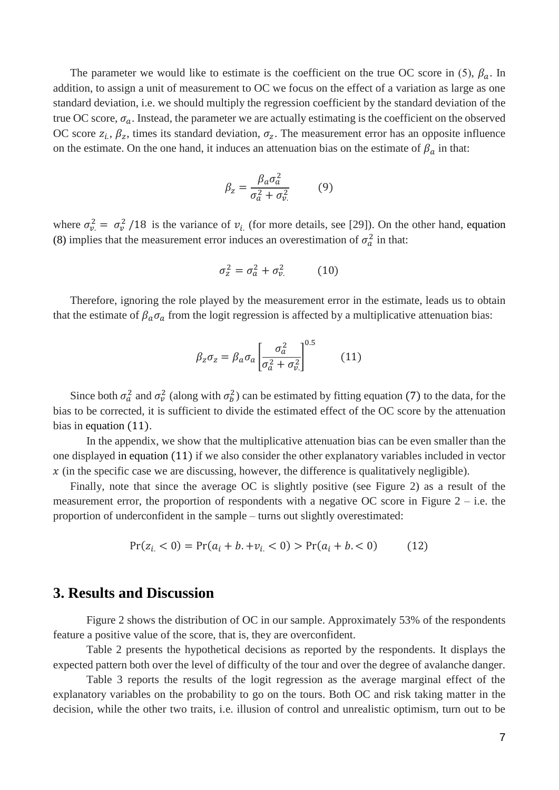The parameter we would like to estimate is the coefficient on the true OC score in (5),  $\beta_a$ . In addition, to assign a unit of measurement to OC we focus on the effect of a variation as large as one standard deviation, i.e. we should multiply the regression coefficient by the standard deviation of the true OC score,  $\sigma_a$ . Instead, the parameter we are actually estimating is the coefficient on the observed OC score  $z_i$ ,  $\beta_z$ , times its standard deviation,  $\sigma_z$ . The measurement error has an opposite influence on the estimate. On the one hand, it induces an attenuation bias on the estimate of  $\beta_a$  in that:

$$
\beta_z = \frac{\beta_a \sigma_a^2}{\sigma_a^2 + \sigma_v^2} \tag{9}
$$

where  $\sigma_v^2 = \sigma_v^2/18$  is the variance of  $v_i$  (for more details, see [29]). On the other hand, equation (8) implies that the measurement error induces an overestimation of  $\sigma_a^2$  in that:

$$
\sigma_z^2 = \sigma_a^2 + \sigma_v^2 \tag{10}
$$

Therefore, ignoring the role played by the measurement error in the estimate, leads us to obtain that the estimate of  $\beta_a \sigma_a$  from the logit regression is affected by a multiplicative attenuation bias:

$$
\beta_z \sigma_z = \beta_a \sigma_a \left[ \frac{\sigma_a^2}{\sigma_a^2 + \sigma_v^2} \right]^{0.5} \tag{11}
$$

Since both  $\sigma_a^2$  and  $\sigma_v^2$  (along with  $\sigma_b^2$ ) can be estimated by fitting equation (7) to the data, for the bias to be corrected, it is sufficient to divide the estimated effect of the OC score by the attenuation bias in equation (11).

In the appendix, we show that the multiplicative attenuation bias can be even smaller than the one displayed in equation (11) if we also consider the other explanatory variables included in vector  $x$  (in the specific case we are discussing, however, the difference is qualitatively negligible).

Finally, note that since the average OC is slightly positive (see Figure 2) as a result of the measurement error, the proportion of respondents with a negative OC score in Figure  $2 - i.e.$  the proportion of underconfident in the sample – turns out slightly overestimated:

$$
Pr(z_{i.} < 0) = Pr(a_i + b. + v_{i.} < 0) > Pr(a_i + b. < 0) \tag{12}
$$

#### **3. Results and Discussion**

Figure 2 shows the distribution of OC in our sample. Approximately 53% of the respondents feature a positive value of the score, that is, they are overconfident.

Table 2 presents the hypothetical decisions as reported by the respondents. It displays the expected pattern both over the level of difficulty of the tour and over the degree of avalanche danger.

Table 3 reports the results of the logit regression as the average marginal effect of the explanatory variables on the probability to go on the tours. Both OC and risk taking matter in the decision, while the other two traits, i.e. illusion of control and unrealistic optimism, turn out to be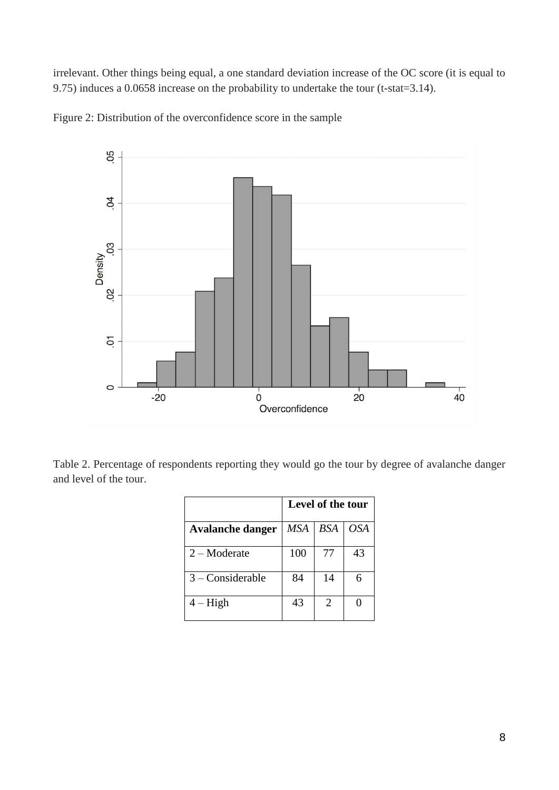irrelevant. Other things being equal, a one standard deviation increase of the OC score (it is equal to 9.75) induces a 0.0658 increase on the probability to undertake the tour (t-stat=3.14).



Figure 2: Distribution of the overconfidence score in the sample

Table 2. Percentage of respondents reporting they would go the tour by degree of avalanche danger and level of the tour.

|                         | Level of the tour |     |            |
|-------------------------|-------------------|-----|------------|
| <b>Avalanche danger</b> | <b>MSA</b>        | BSA | <b>OSA</b> |
| $2 -$ Moderate          | 100               | 77  | 43         |
| $3$ – Considerable      | 84                | 14  | 6          |
| $4 - High$              | 43                | 2   |            |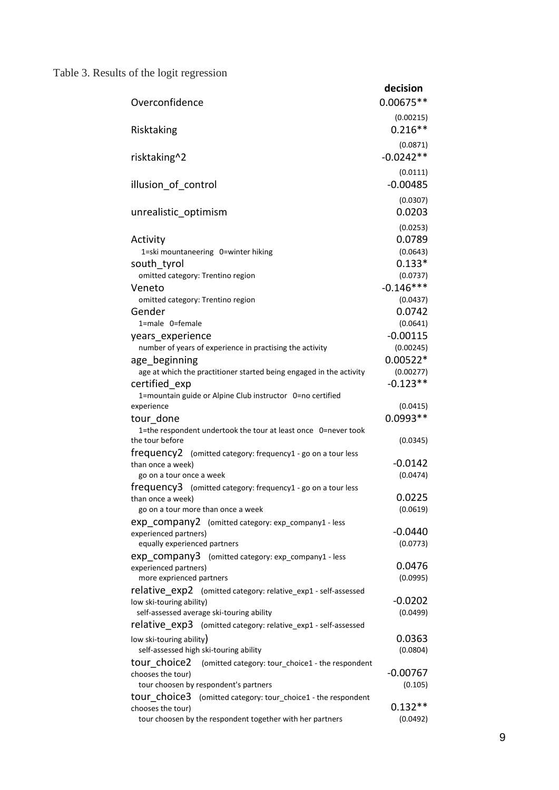# Table 3. Results of the logit regression

| Overconfidence                                                                                                                                 | decision<br>0.00675**             |
|------------------------------------------------------------------------------------------------------------------------------------------------|-----------------------------------|
| Risktaking                                                                                                                                     | (0.00215)<br>$0.216**$            |
| risktaking^2                                                                                                                                   | (0.0871)<br>$-0.0242**$           |
| illusion of control                                                                                                                            | (0.0111)<br>$-0.00485$            |
| unrealistic optimism                                                                                                                           | (0.0307)<br>0.0203                |
| Activity<br>1=ski mountaneering 0=winter hiking                                                                                                | (0.0253)<br>0.0789<br>(0.0643)    |
| south tyrol<br>omitted category: Trentino region                                                                                               | $0.133*$<br>(0.0737)              |
| Veneto<br>omitted category: Trentino region<br>Gender                                                                                          | $-0.146***$<br>(0.0437)<br>0.0742 |
| 1=male 0=female<br>years experience                                                                                                            | (0.0641)<br>$-0.00115$            |
| number of years of experience in practising the activity<br>age beginning                                                                      | (0.00245)<br>$0.00522*$           |
| age at which the practitioner started being engaged in the activity<br>certified exp                                                           | (0.00277)<br>$-0.123**$           |
| 1=mountain guide or Alpine Club instructor 0=no certified<br>experience                                                                        | (0.0415)                          |
| tour done<br>1=the respondent undertook the tour at least once 0=never took                                                                    | $0.0993**$                        |
| the tour before<br>frequency2 (omitted category: frequency1 - go on a tour less<br>than once a week)                                           | (0.0345)<br>$-0.0142$             |
| go on a tour once a week<br>frequency3 (omitted category: frequency1 - go on a tour less                                                       | (0.0474)                          |
| than once a week)<br>go on a tour more than once a week                                                                                        | 0.0225<br>(0.0619)                |
| exp company2 (omitted category: exp_company1 - less<br>experienced partners)<br>equally experienced partners                                   | -0.0440<br>(0.0773)               |
| exp company3 (omitted category: exp_company1 - less<br>experienced partners)<br>more exprienced partners                                       | 0.0476<br>(0.0995)                |
| <b>relative</b> exp2 (omitted category: relative_exp1 - self-assessed<br>low ski-touring ability)<br>self-assessed average ski-touring ability | $-0.0202$<br>(0.0499)             |
| relative exp3 (omitted category: relative_exp1 - self-assessed                                                                                 |                                   |
| low ski-touring ability)<br>self-assessed high ski-touring ability                                                                             | 0.0363<br>(0.0804)                |
| tour choice2<br>(omitted category: tour_choice1 - the respondent<br>chooses the tour)<br>tour choosen by respondent's partners                 | $-0.00767$<br>(0.105)             |
| tour choice3<br>(omitted category: tour_choice1 - the respondent<br>chooses the tour)                                                          | $0.132**$                         |
| tour choosen by the respondent together with her partners                                                                                      | (0.0492)                          |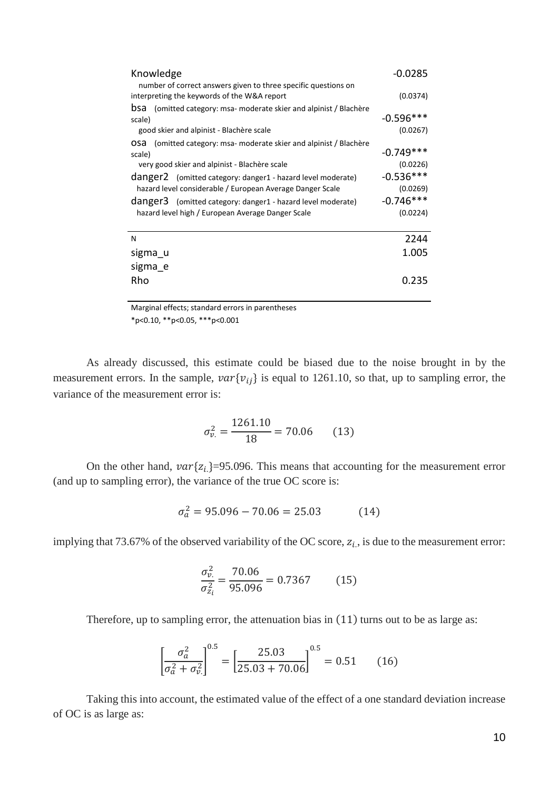| Knowledge                                                                 | $-0.0285$   |
|---------------------------------------------------------------------------|-------------|
| number of correct answers given to three specific questions on            | (0.0374)    |
| interpreting the keywords of the W&A report                               |             |
| <b>bsa</b> (omitted category: msa- moderate skier and alpinist / Blachère |             |
| scale)                                                                    | $-0.596***$ |
| good skier and alpinist - Blachère scale                                  | (0.0267)    |
| <b>OSA</b> (omitted category: msa- moderate skier and alpinist / Blachère |             |
| scale)                                                                    | $-0.749***$ |
| very good skier and alpinist - Blachère scale                             | (0.0226)    |
| danger2 (omitted category: danger1 - hazard level moderate)               | $-0.536***$ |
| hazard level considerable / European Average Danger Scale                 | (0.0269)    |
| danger3 (omitted category: danger1 - hazard level moderate)               | $-0.746***$ |
| hazard level high / European Average Danger Scale                         | (0.0224)    |
|                                                                           |             |
| N                                                                         | 2244        |
| sigma u                                                                   | 1.005       |
| sigma e                                                                   |             |
|                                                                           |             |
| Rho                                                                       | 0.235       |
|                                                                           |             |

Marginal effects; standard errors in parentheses \*p<0.10, \*\*p<0.05, \*\*\*p<0.001

As already discussed, this estimate could be biased due to the noise brought in by the measurement errors. In the sample,  $var{v_{ij}}$  is equal to 1261.10, so that, up to sampling error, the variance of the measurement error is:

$$
\sigma_{v.}^2 = \frac{1261.10}{18} = 70.06\tag{13}
$$

On the other hand,  $var{z_i}$ =95.096. This means that accounting for the measurement error (and up to sampling error), the variance of the true OC score is:

$$
\sigma_a^2 = 95.096 - 70.06 = 25.03 \tag{14}
$$

implying that 73.67% of the observed variability of the OC score,  $z_i$ , is due to the measurement error:

$$
\frac{\sigma_{v.}^2}{\sigma_{z_i}^2} = \frac{70.06}{95.096} = 0.7367
$$
 (15)

Therefore, up to sampling error, the attenuation bias in (11) turns out to be as large as:

$$
\left[\frac{\sigma_a^2}{\sigma_a^2 + \sigma_{v}^2}\right]^{0.5} = \left[\frac{25.03}{25.03 + 70.06}\right]^{0.5} = 0.51\tag{16}
$$

Taking this into account, the estimated value of the effect of a one standard deviation increase of OC is as large as: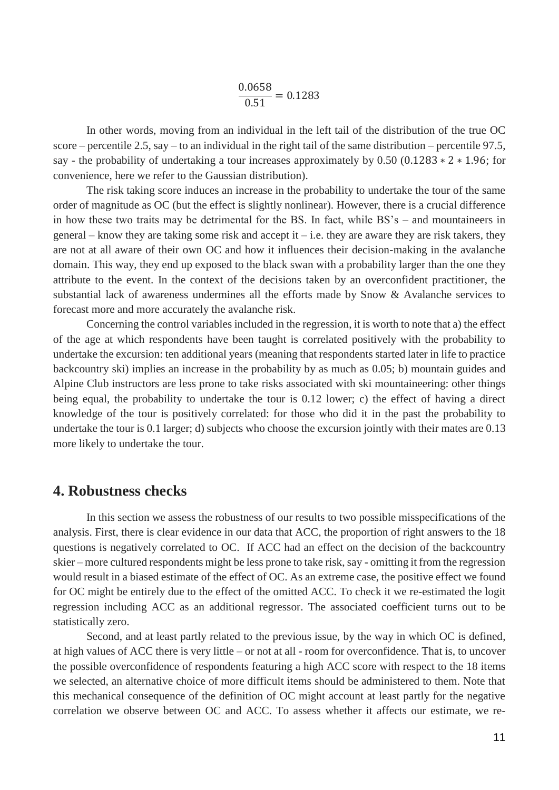0.0658  $\frac{1282}{0.51} = 0.1283$ 

In other words, moving from an individual in the left tail of the distribution of the true OC score – percentile 2.5, say – to an individual in the right tail of the same distribution – percentile 97.5, say - the probability of undertaking a tour increases approximately by 0.50 (0.1283  $* 2 * 1.96$ ; for convenience, here we refer to the Gaussian distribution).

The risk taking score induces an increase in the probability to undertake the tour of the same order of magnitude as OC (but the effect is slightly nonlinear). However, there is a crucial difference in how these two traits may be detrimental for the BS. In fact, while BS's – and mountaineers in general – know they are taking some risk and accept it – i.e. they are aware they are risk takers, they are not at all aware of their own OC and how it influences their decision-making in the avalanche domain. This way, they end up exposed to the black swan with a probability larger than the one they attribute to the event. In the context of the decisions taken by an overconfident practitioner, the substantial lack of awareness undermines all the efforts made by Snow & Avalanche services to forecast more and more accurately the avalanche risk.

Concerning the control variables included in the regression, it is worth to note that a) the effect of the age at which respondents have been taught is correlated positively with the probability to undertake the excursion: ten additional years (meaning that respondents started later in life to practice backcountry ski) implies an increase in the probability by as much as 0.05; b) mountain guides and Alpine Club instructors are less prone to take risks associated with ski mountaineering: other things being equal, the probability to undertake the tour is 0.12 lower; c) the effect of having a direct knowledge of the tour is positively correlated: for those who did it in the past the probability to undertake the tour is 0.1 larger; d) subjects who choose the excursion jointly with their mates are 0.13 more likely to undertake the tour.

#### **4. Robustness checks**

In this section we assess the robustness of our results to two possible misspecifications of the analysis. First, there is clear evidence in our data that ACC, the proportion of right answers to the 18 questions is negatively correlated to OC. If ACC had an effect on the decision of the backcountry skier – more cultured respondents might be less prone to take risk, say - omitting it from the regression would result in a biased estimate of the effect of OC. As an extreme case, the positive effect we found for OC might be entirely due to the effect of the omitted ACC. To check it we re-estimated the logit regression including ACC as an additional regressor. The associated coefficient turns out to be statistically zero.

Second, and at least partly related to the previous issue, by the way in which OC is defined, at high values of ACC there is very little – or not at all - room for overconfidence. That is, to uncover the possible overconfidence of respondents featuring a high ACC score with respect to the 18 items we selected, an alternative choice of more difficult items should be administered to them. Note that this mechanical consequence of the definition of OC might account at least partly for the negative correlation we observe between OC and ACC. To assess whether it affects our estimate, we re-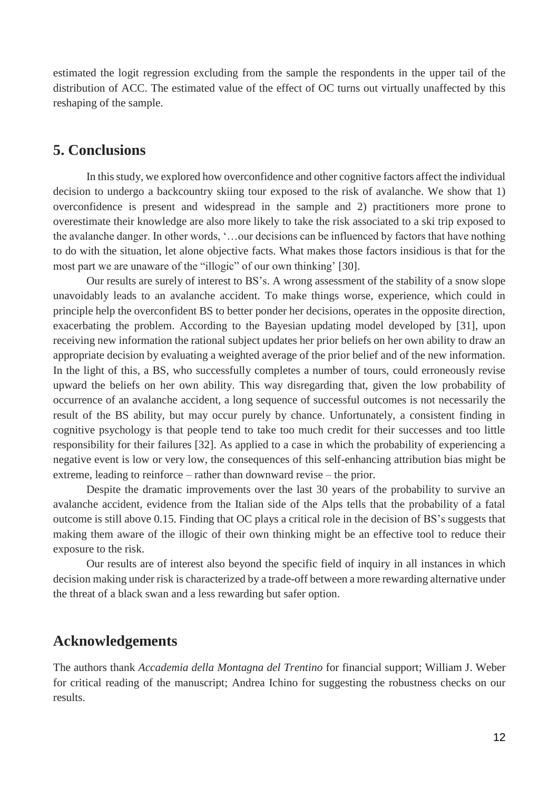estimated the logit regression excluding from the sample the respondents in the upper tail of the distribution of ACC. The estimated value of the effect of OC turns out virtually unaffected by this reshaping of the sample.

#### **5. Conclusions**

In this study, we explored how overconfidence and other cognitive factors affect the individual decision to undergo a backcountry skiing tour exposed to the risk of avalanche. We show that 1) overconfidence is present and widespread in the sample and 2) practitioners more prone to overestimate their knowledge are also more likely to take the risk associated to a ski trip exposed to the avalanche danger. In other words, '…our decisions can be influenced by factors that have nothing to do with the situation, let alone objective facts. What makes those factors insidious is that for the most part we are unaware of the "illogic" of our own thinking' [30].

Our results are surely of interest to BS's. A wrong assessment of the stability of a snow slope unavoidably leads to an avalanche accident. To make things worse, experience, which could in principle help the overconfident BS to better ponder her decisions, operates in the opposite direction, exacerbating the problem. According to the Bayesian updating model developed by [31], upon receiving new information the rational subject updates her prior beliefs on her own ability to draw an appropriate decision by evaluating a weighted average of the prior belief and of the new information. In the light of this, a BS, who successfully completes a number of tours, could erroneously revise upward the beliefs on her own ability. This way disregarding that, given the low probability of occurrence of an avalanche accident, a long sequence of successful outcomes is not necessarily the result of the BS ability, but may occur purely by chance. Unfortunately, a consistent finding in cognitive psychology is that people tend to take too much credit for their successes and too little responsibility for their failures [32]. As applied to a case in which the probability of experiencing a negative event is low or very low, the consequences of this self-enhancing attribution bias might be extreme, leading to reinforce – rather than downward revise – the prior.

Despite the dramatic improvements over the last 30 years of the probability to survive an avalanche accident, evidence from the Italian side of the Alps tells that the probability of a fatal outcome is still above 0.15. Finding that OC plays a critical role in the decision of BS's suggests that making them aware of the illogic of their own thinking might be an effective tool to reduce their exposure to the risk.

Our results are of interest also beyond the specific field of inquiry in all instances in which decision making under risk is characterized by a trade-off between a more rewarding alternative under the threat of a black swan and a less rewarding but safer option.

#### **Acknowledgements**

The authors thank *Accademia della Montagna del Trentino* for financial support; William J. Weber for critical reading of the manuscript; Andrea Ichino for suggesting the robustness checks on our results.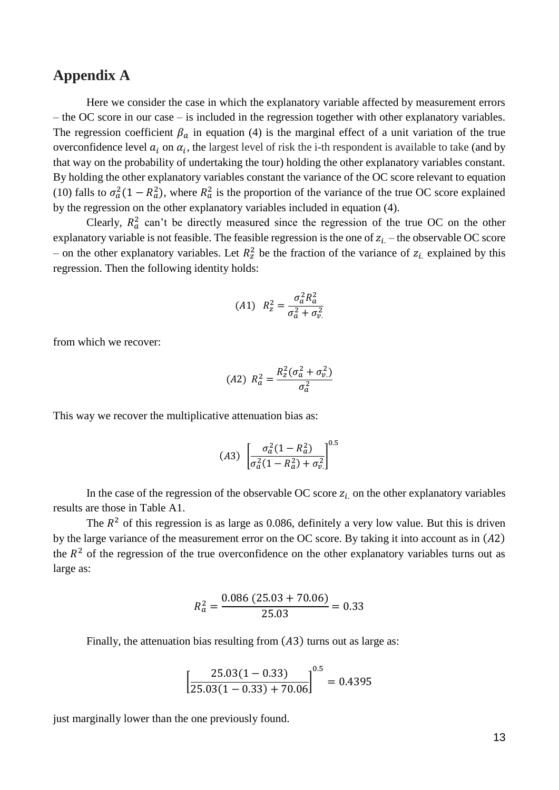#### **Appendix A**

Here we consider the case in which the explanatory variable affected by measurement errors – the OC score in our case – is included in the regression together with other explanatory variables. The regression coefficient  $\beta_a$  in equation (4) is the marginal effect of a unit variation of the true overconfidence level  $a_i$  on  $\alpha_i$ , the largest level of risk the i-th respondent is available to take (and by that way on the probability of undertaking the tour) holding the other explanatory variables constant. By holding the other explanatory variables constant the variance of the OC score relevant to equation (10) falls to  $\sigma_a^2(1 - R_a^2)$ , where  $R_a^2$  is the proportion of the variance of the true OC score explained by the regression on the other explanatory variables included in equation (4).

Clearly,  $R_a^2$  can't be directly measured since the regression of the true OC on the other explanatory variable is not feasible. The feasible regression is the one of  $z_i$  – the observable OC score – on the other explanatory variables. Let  $R_z^2$  be the fraction of the variance of  $z_i$  explained by this regression. Then the following identity holds:

$$
(A1) \ \ R_z^2 = \frac{\sigma_a^2 R_a^2}{\sigma_a^2 + \sigma_v^2}
$$

from which we recover:

$$
(A2) \ \ R_a^2 = \frac{R_z^2(\sigma_a^2 + \sigma_v^2)}{\sigma_a^2}
$$

This way we recover the multiplicative attenuation bias as:

$$
(A3) \left[ \frac{\sigma_a^2 (1 - R_a^2)}{\sigma_a^2 (1 - R_a^2) + \sigma_v^2} \right]^{0.5}
$$

In the case of the regression of the observable OC score  $z_i$  on the other explanatory variables results are those in Table A1.

The  $R<sup>2</sup>$  of this regression is as large as 0.086, definitely a very low value. But this is driven by the large variance of the measurement error on the OC score. By taking it into account as in  $(A2)$ the  $R<sup>2</sup>$  of the regression of the true overconfidence on the other explanatory variables turns out as large as:

$$
R_a^2 = \frac{0.086 (25.03 + 70.06)}{25.03} = 0.33
$$

Finally, the attenuation bias resulting from  $(A3)$  turns out as large as:

$$
\left[\frac{25.03(1-0.33)}{25.03(1-0.33)+70.06}\right]^{0.5} = 0.4395
$$

just marginally lower than the one previously found.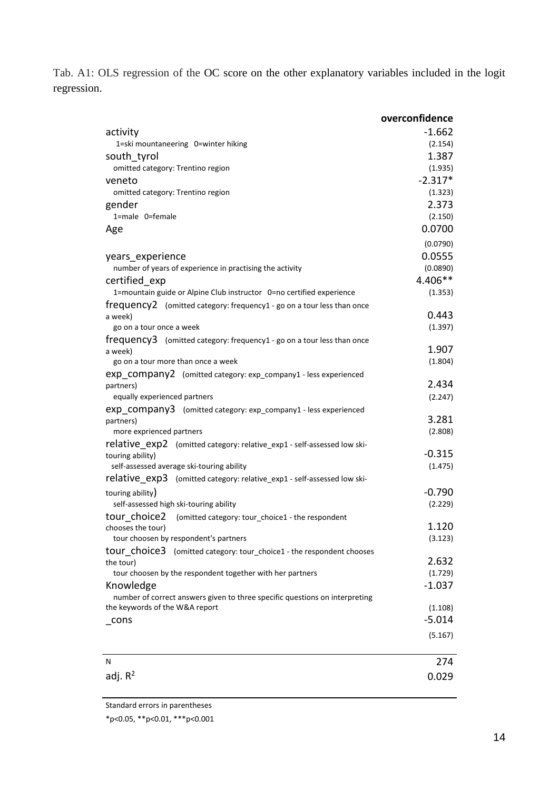Tab. A1: OLS regression of the OC score on the other explanatory variables included in the logit regression.

|                                                                                                               | overconfidence      |
|---------------------------------------------------------------------------------------------------------------|---------------------|
| activity                                                                                                      | $-1.662$            |
| 1=ski mountaneering 0=winter hiking                                                                           | (2.154)             |
| south tyrol                                                                                                   | 1.387               |
| omitted category: Trentino region                                                                             | (1.935)             |
| veneto                                                                                                        | $-2.317*$           |
| omitted category: Trentino region                                                                             | (1.323)             |
| gender                                                                                                        | 2.373               |
| 1=male 0=female                                                                                               | (2.150)             |
| Age                                                                                                           | 0.0700              |
|                                                                                                               | (0.0790)            |
| years experience                                                                                              | 0.0555              |
| number of years of experience in practising the activity                                                      | (0.0890)            |
| certified exp                                                                                                 | 4.406**             |
| 1=mountain guide or Alpine Club instructor 0=no certified experience                                          | (1.353)             |
| frequency2 (omitted category: frequency1 - go on a tour less than once                                        |                     |
| a week)                                                                                                       | 0.443               |
| go on a tour once a week                                                                                      | (1.397)             |
| frequency3 (omitted category: frequency1 - go on a tour less than once                                        |                     |
| a week)                                                                                                       | 1.907               |
| go on a tour more than once a week                                                                            | (1.804)             |
| exp_company2 (omitted category: exp_company1 - less experienced                                               | 2.434               |
| partners)<br>equally experienced partners                                                                     | (2.247)             |
| exp company3 (omitted category: exp_company1 - less experienced                                               |                     |
| partners)                                                                                                     | 3.281               |
| more exprienced partners                                                                                      | (2.808)             |
| <b>relative</b> exp2 (omitted category: relative_exp1 - self-assessed low ski-                                |                     |
| touring ability)                                                                                              | $-0.315$            |
| self-assessed average ski-touring ability                                                                     | (1.475)             |
| relative exp3<br>(omitted category: relative_exp1 - self-assessed low ski-                                    |                     |
| touring ability)                                                                                              | $-0.790$            |
| self-assessed high ski-touring ability                                                                        | (2.229)             |
| tour choice2<br>(omitted category: tour_choice1 - the respondent                                              |                     |
| chooses the tour)                                                                                             | 1.120               |
| tour choosen by respondent's partners                                                                         | (3.123)             |
| tour choice3 (omitted category: tour_choice1 - the respondent chooses                                         |                     |
| the tour)                                                                                                     | 2.632               |
| tour choosen by the respondent together with her partners                                                     | (1.729)             |
| Knowledge                                                                                                     | $-1.037$            |
| number of correct answers given to three specific questions on interpreting<br>the keywords of the W&A report |                     |
|                                                                                                               | (1.108)<br>$-5.014$ |
| cons                                                                                                          |                     |
|                                                                                                               | (5.167)             |
| N                                                                                                             | 274                 |
| adj. $R^2$                                                                                                    | 0.029               |
|                                                                                                               |                     |

Standard errors in parentheses

\*p<0.05, \*\*p<0.01, \*\*\*p<0.001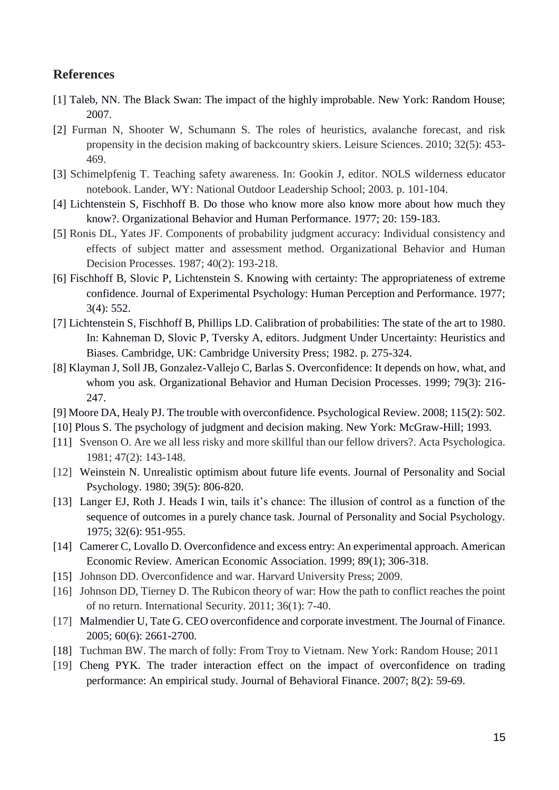#### **References**

- [1] Taleb, NN. The Black Swan: The impact of the highly improbable. New York: Random House; 2007.
- [2] Furman N, Shooter W, Schumann S. The roles of heuristics, avalanche forecast, and risk propensity in the decision making of backcountry skiers. Leisure Sciences. 2010; 32(5): 453- 469.
- [3] Schimelpfenig T. Teaching safety awareness. In: Gookin J, editor. NOLS wilderness educator notebook. Lander, WY: National Outdoor Leadership School; 2003. p. 101-104.
- [4] Lichtenstein S, Fischhoff B. Do those who know more also know more about how much they know?. Organizational Behavior and Human Performance. 1977; 20: 159-183.
- [5] Ronis DL, Yates JF. Components of probability judgment accuracy: Individual consistency and effects of subject matter and assessment method. Organizational Behavior and Human Decision Processes. 1987; 40(2): 193-218.
- [6] Fischhoff B, Slovic P, Lichtenstein S. Knowing with certainty: The appropriateness of extreme confidence. Journal of Experimental Psychology: Human Perception and Performance. 1977; 3(4): 552.
- [7] Lichtenstein S, Fischhoff B, Phillips LD. Calibration of probabilities: The state of the art to 1980. In: Kahneman D, Slovic P, Tversky A, editors. Judgment Under Uncertainty: Heuristics and Biases. Cambridge, UK: Cambridge University Press; 1982. p. 275-324.
- [8] Klayman J, Soll JB, Gonzalez-Vallejo C, Barlas S. Overconfidence: It depends on how, what, and whom you ask. Organizational Behavior and Human Decision Processes. 1999; 79(3): 216- 247.
- [9] Moore DA, Healy PJ. The trouble with overconfidence. Psychological Review. 2008; 115(2): 502.
- [10] Plous S. The psychology of judgment and decision making. New York: McGraw-Hill; 1993.
- [11] Svenson O. Are we all less risky and more skillful than our fellow drivers?. Acta Psychologica. 1981; 47(2): 143-148.
- [12] Weinstein N. Unrealistic optimism about future life events. Journal of Personality and Social Psychology. 1980; 39(5): 806-820.
- [13] Langer EJ, Roth J. Heads I win, tails it's chance: The illusion of control as a function of the sequence of outcomes in a purely chance task. Journal of Personality and Social Psychology. 1975; 32(6): 951-955.
- [14] Camerer C, Lovallo D. Overconfidence and excess entry: An experimental approach. American Economic Review. American Economic Association. 1999; 89(1); 306-318.
- [15] Johnson DD. Overconfidence and war. Harvard University Press; 2009.
- [16] Johnson DD, Tierney D. The Rubicon theory of war: How the path to conflict reaches the point of no return. International Security. 2011; 36(1): 7-40.
- [17] Malmendier U, Tate G. CEO overconfidence and corporate investment. The Journal of Finance. 2005; 60(6): 2661-2700.
- [18] Tuchman BW. The march of folly: From Troy to Vietnam. New York: Random House; 2011
- [19] Cheng PYK. The trader interaction effect on the impact of overconfidence on trading performance: An empirical study. Journal of Behavioral Finance. 2007; 8(2): 59-69.